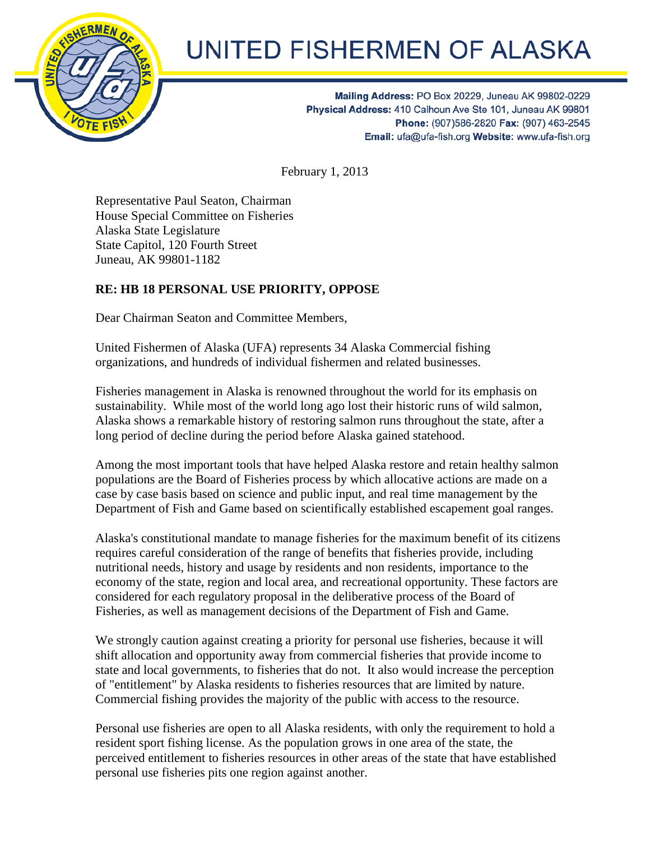

## UNITED FISHERMEN OF ALASKA

Mailing Address: PO Box 20229, Juneau AK 99802-0229 Physical Address: 410 Calhoun Ave Ste 101, Juneau AK 99801 Phone: (907)586-2820 Fax: (907) 463-2545 Email: ufa@ufa-fish.org Website: www.ufa-fish.org

February 1, 2013

Representative Paul Seaton, Chairman House Special Committee on Fisheries Alaska State Legislature State Capitol, 120 Fourth Street Juneau, AK 99801-1182

## **RE: HB 18 PERSONAL USE PRIORITY, OPPOSE**

Dear Chairman Seaton and Committee Members,

United Fishermen of Alaska (UFA) represents 34 Alaska Commercial fishing organizations, and hundreds of individual fishermen and related businesses.

Fisheries management in Alaska is renowned throughout the world for its emphasis on sustainability. While most of the world long ago lost their historic runs of wild salmon, Alaska shows a remarkable history of restoring salmon runs throughout the state, after a long period of decline during the period before Alaska gained statehood.

Among the most important tools that have helped Alaska restore and retain healthy salmon populations are the Board of Fisheries process by which allocative actions are made on a case by case basis based on science and public input, and real time management by the Department of Fish and Game based on scientifically established escapement goal ranges.

Alaska's constitutional mandate to manage fisheries for the maximum benefit of its citizens requires careful consideration of the range of benefits that fisheries provide, including nutritional needs, history and usage by residents and non residents, importance to the economy of the state, region and local area, and recreational opportunity. These factors are considered for each regulatory proposal in the deliberative process of the Board of Fisheries, as well as management decisions of the Department of Fish and Game.

We strongly caution against creating a priority for personal use fisheries, because it will shift allocation and opportunity away from commercial fisheries that provide income to state and local governments, to fisheries that do not. It also would increase the perception of "entitlement" by Alaska residents to fisheries resources that are limited by nature. Commercial fishing provides the majority of the public with access to the resource.

Personal use fisheries are open to all Alaska residents, with only the requirement to hold a resident sport fishing license. As the population grows in one area of the state, the perceived entitlement to fisheries resources in other areas of the state that have established personal use fisheries pits one region against another.